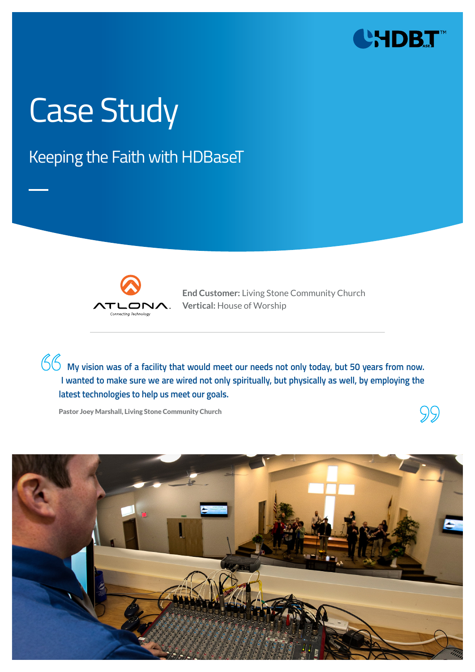

SS.

# Case Study

### Keeping the Faith with HDBaseT



**End Customer:** Living Stone Community Church **Vertical:** House of Worship

**My vision was of a facility that would meet our needs not only today, but 50 years from now. I wanted to make sure we are wired not only spiritually, but physically as well, by employing the latest technologies to help us meet our goals.** 

Pastor Joey Marshall, Living Stone Community Church